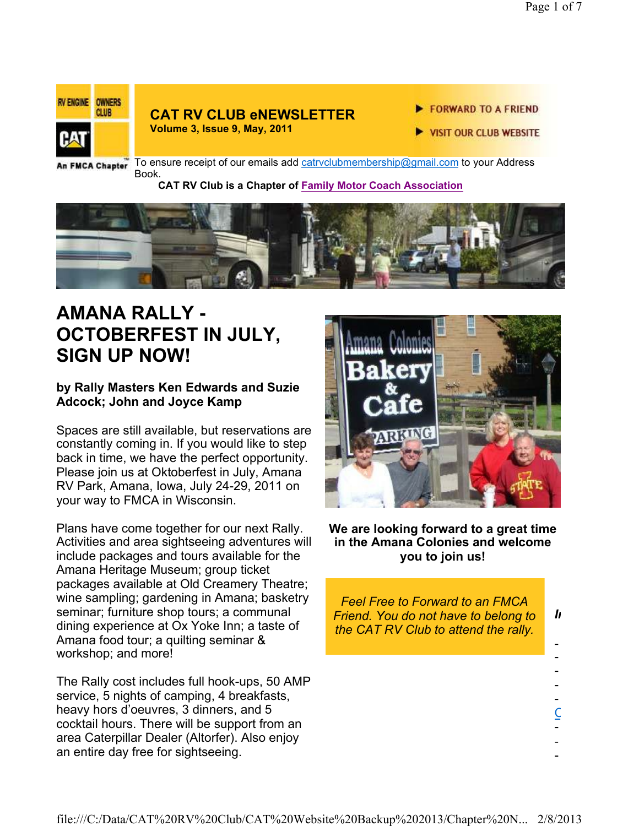

### **CAT RV CLUB eNEWSLETTER**

**Volume 3, Issue 9, May, 2011**

- FORWARD TO A FRIEND
- **VISIT OUR CLUB WEBSITE**

An FMCA Chapter

To ensure receipt of our emails add catrvclubmembership@gmail.com to your Address Book.

#### **CAT RV Club is a Chapter of Family Motor Coach Association**



### **AMANA RALLY - OCTOBERFEST IN JULY, SIGN UP NOW!**

#### **by Rally Masters Ken Edwards and Suzie Adcock; John and Joyce Kamp**

Spaces are still available, but reservations are constantly coming in. If you would like to step back in time, we have the perfect opportunity. Please join us at Oktoberfest in July, Amana RV Park, Amana, Iowa, July 24-29, 2011 on your way to FMCA in Wisconsin.

Plans have come together for our next Rally. Activities and area sightseeing adventures will include packages and tours available for the Amana Heritage Museum; group ticket packages available at Old Creamery Theatre; wine sampling; gardening in Amana; basketry seminar; furniture shop tours; a communal dining experience at Ox Yoke Inn; a taste of Amana food tour; a quilting seminar & workshop; and more!

The Rally cost includes full hook-ups, 50 AMP service, 5 nights of camping, 4 breakfasts, heavy hors d'oeuvres, 3 dinners, and 5 cocktail hours. There will be support from an area Caterpillar Dealer (Altorfer). Also enjoy an entire day free for sightseeing.



#### **We are looking forward to a great time in the Amana Colonies and welcome you to join us!**

*Feel Free to Forward to an FMCA Friend. You do not have to belong to the CAT RV Club to attend the rally. In This issue*

> - - - - -  $\overline{\underline{C}}$ - - -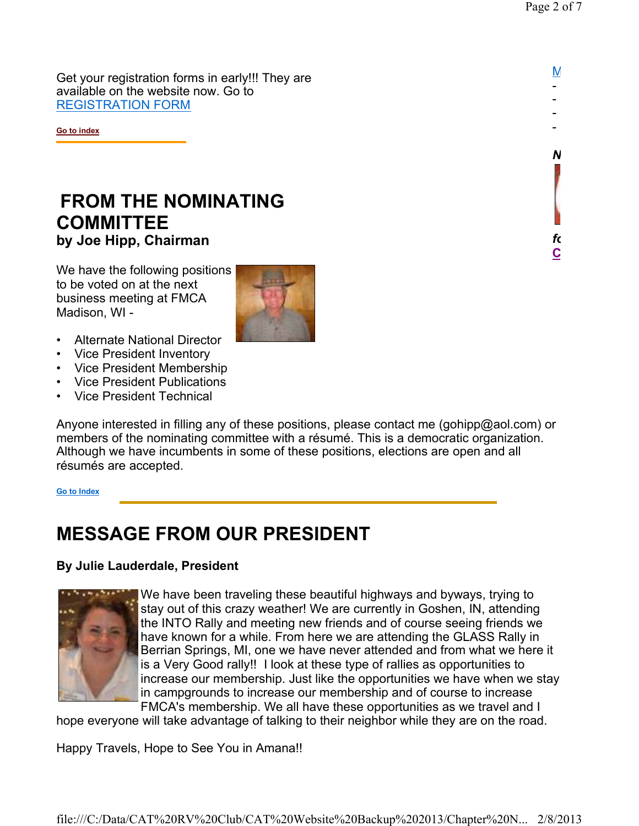$N$ - - - -

*Need Club Logo Merchandise?* 

**CAT RV Club Shopping Cart**

*following link:* 

Get your registration forms in early!!! They are available on the website now. Go to REGISTRATION FORM

**Go to index**

### **FROM THE NOMINATING COMMITTEE by Joe Hipp, Chairman**

We have the following positions to be voted on at the next business meeting at FMCA Madison, WI -



- Alternate National Director
- Vice President Inventory
- Vice President Membership
- Vice President Publications
- Vice President Technical

Anyone interested in filling any of these positions, please contact me (gohipp@aol.com) or members of the nominating committee with a résumé. This is a democratic organization. Although we have incumbents in some of these positions, elections are open and all résumés are accepted.

**Go to Index**

### **MESSAGE FROM OUR PRESIDENT**

#### **By Julie Lauderdale, President**



We have been traveling these beautiful highways and byways, trying to stay out of this crazy weather! We are currently in Goshen, IN, attending the INTO Rally and meeting new friends and of course seeing friends we have known for a while. From here we are attending the GLASS Rally in Berrian Springs, MI, one we have never attended and from what we here it is a Very Good rally!! I look at these type of rallies as opportunities to increase our membership. Just like the opportunities we have when we stay in campgrounds to increase our membership and of course to increase FMCA's membership. We all have these opportunities as we travel and I

hope everyone will take advantage of talking to their neighbor while they are on the road.

Happy Travels, Hope to See You in Amana!!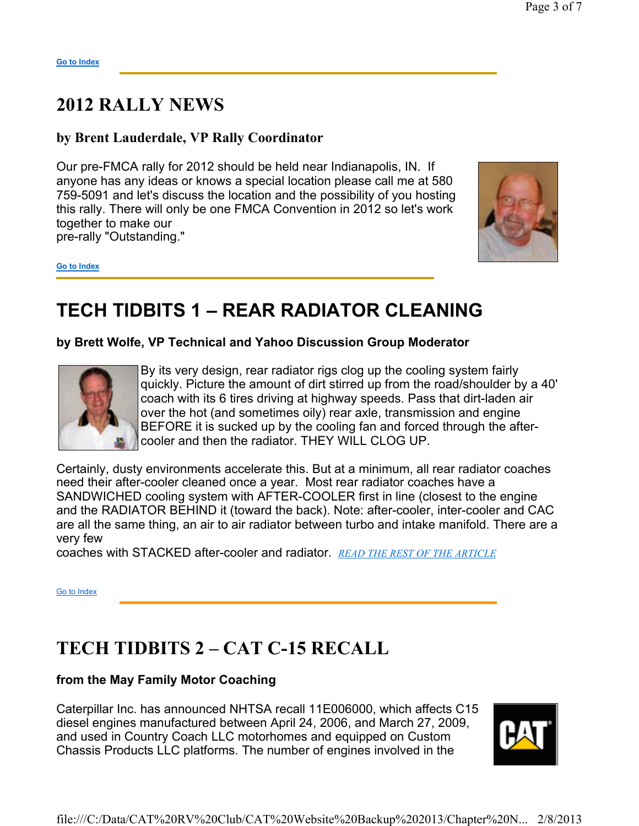### **2012 RALLY NEWS**

### **by Brent Lauderdale, VP Rally Coordinator**

Our pre-FMCA rally for 2012 should be held near Indianapolis, IN. If anyone has any ideas or knows a special location please call me at 580 759-5091 and let's discuss the location and the possibility of you hosting this rally. There will only be one FMCA Convention in 2012 so let's work together to make our pre-rally "Outstanding."



**Go to Index**

## **TECH TIDBITS 1 – REAR RADIATOR CLEANING**

**by Brett Wolfe, VP Technical and Yahoo Discussion Group Moderator**



By its very design, rear radiator rigs clog up the cooling system fairly quickly. Picture the amount of dirt stirred up from the road/shoulder by a 40' coach with its 6 tires driving at highway speeds. Pass that dirt-laden air over the hot (and sometimes oily) rear axle, transmission and engine BEFORE it is sucked up by the cooling fan and forced through the aftercooler and then the radiator. THEY WILL CLOG UP.

Certainly, dusty environments accelerate this. But at a minimum, all rear radiator coaches need their after-cooler cleaned once a year. Most rear radiator coaches have a SANDWICHED cooling system with AFTER-COOLER first in line (closest to the engine and the RADIATOR BEHIND it (toward the back). Note: after-cooler, inter-cooler and CAC are all the same thing, an air to air radiator between turbo and intake manifold. There are a very few

coaches with STACKED after-cooler and radiator. *READ THE REST OF THE ARTICLE*

Go to Index

### **TECH TIDBITS 2 – CAT C-15 RECALL**

#### **from the May Family Motor Coaching**

Caterpillar Inc. has announced NHTSA recall 11E006000, which affects C15 diesel engines manufactured between April 24, 2006, and March 27, 2009, and used in Country Coach LLC motorhomes and equipped on Custom Chassis Products LLC platforms. The number of engines involved in the

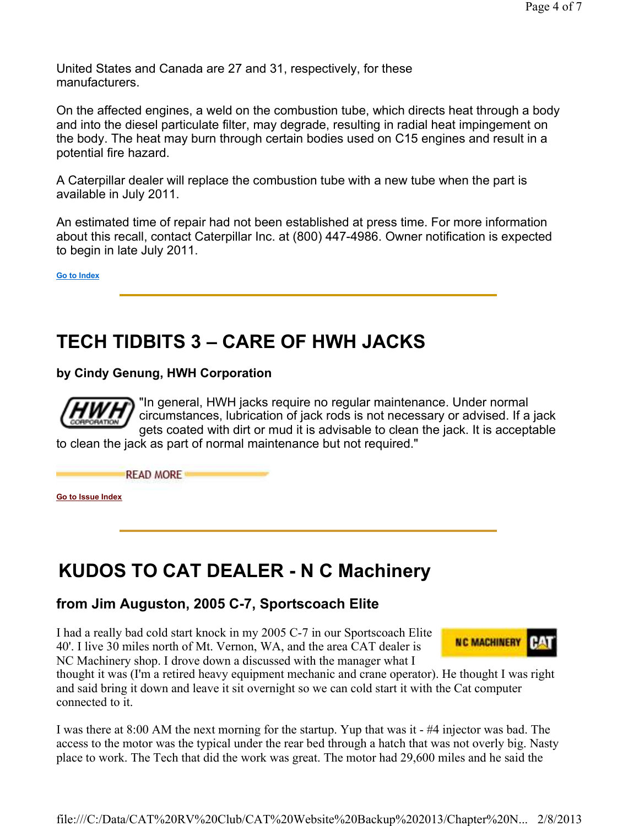United States and Canada are 27 and 31, respectively, for these manufacturers.

On the affected engines, a weld on the combustion tube, which directs heat through a body and into the diesel particulate filter, may degrade, resulting in radial heat impingement on the body. The heat may burn through certain bodies used on C15 engines and result in a potential fire hazard.

A Caterpillar dealer will replace the combustion tube with a new tube when the part is available in July 2011.

An estimated time of repair had not been established at press time. For more information about this recall, contact Caterpillar Inc. at (800) 447-4986. Owner notification is expected to begin in late July 2011.

**Go to Index**

# **TECH TIDBITS 3 – CARE OF HWH JACKS**

**by Cindy Genung, HWH Corporation**

**READ MORE** 



"In general, HWH jacks require no regular maintenance. Under normal circumstances, lubrication of jack rods is not necessary or advised. If a jack gets coated with dirt or mud it is advisable to clean the jack. It is acceptable

to clean the jack as part of normal maintenance but not required."

**Go to Issue Index**

# **KUDOS TO CAT DEALER - N C Machinery**

### **from Jim Auguston, 2005 C-7, Sportscoach Elite**

I had a really bad cold start knock in my 2005 C-7 in our Sportscoach Elite 40'. I live 30 miles north of Mt. Vernon, WA, and the area CAT dealer is NC Machinery shop. I drove down a discussed with the manager what I



thought it was (I'm a retired heavy equipment mechanic and crane operator). He thought I was right and said bring it down and leave it sit overnight so we can cold start it with the Cat computer connected to it.

I was there at 8:00 AM the next morning for the startup. Yup that was it - #4 injector was bad. The access to the motor was the typical under the rear bed through a hatch that was not overly big. Nasty place to work. The Tech that did the work was great. The motor had 29,600 miles and he said the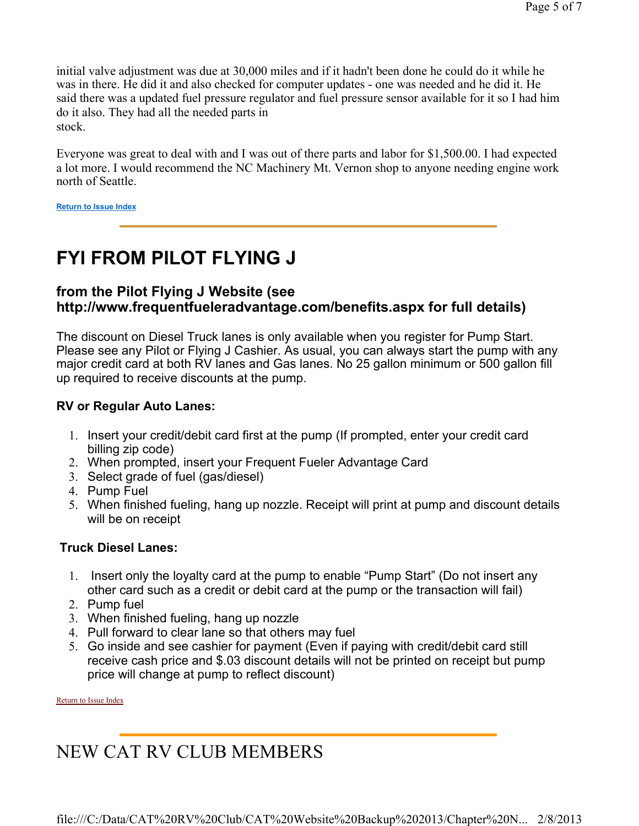initial valve adjustment was due at 30,000 miles and if it hadn't been done he could do it while he was in there. He did it and also checked for computer updates - one was needed and he did it. He said there was a updated fuel pressure regulator and fuel pressure sensor available for it so I had him do it also. They had all the needed parts in stock.

Everyone was great to deal with and I was out of there parts and labor for \$1,500.00. I had expected a lot more. I would recommend the NC Machinery Mt. Vernon shop to anyone needing engine work north of Seattle.

**Return to Issue Index**

## **FYI FROM PILOT FLYING J**

#### **from the Pilot Flying J Website (see http://www.frequentfueleradvantage.com/benefits.aspx for full details)**

The discount on Diesel Truck lanes is only available when you register for Pump Start. Please see any Pilot or Flying J Cashier. As usual, you can always start the pump with any major credit card at both RV lanes and Gas lanes. No 25 gallon minimum or 500 gallon fill up required to receive discounts at the pump.

#### **RV or Regular Auto Lanes:**

- 1. Insert your credit/debit card first at the pump (If prompted, enter your credit card billing zip code)
- 2. When prompted, insert your Frequent Fueler Advantage Card
- 3. Select grade of fuel (gas/diesel)
- 4. Pump Fuel
- 5. When finished fueling, hang up nozzle. Receipt will print at pump and discount details will be on receipt

#### **Truck Diesel Lanes:**

- 1. Insert only the loyalty card at the pump to enable "Pump Start" (Do not insert any other card such as a credit or debit card at the pump or the transaction will fail)
- 2. Pump fuel
- 3. When finished fueling, hang up nozzle
- 4. Pull forward to clear lane so that others may fuel
- 5. Go inside and see cashier for payment (Even if paying with credit/debit card still receive cash price and \$.03 discount details will not be printed on receipt but pump price will change at pump to reflect discount)

Return to Issue Index

# NEW CAT RV CLUB MEMBERS

file:///C:/Data/CAT%20RV%20Club/CAT%20Website%20Backup%202013/Chapter%20N... 2/8/2013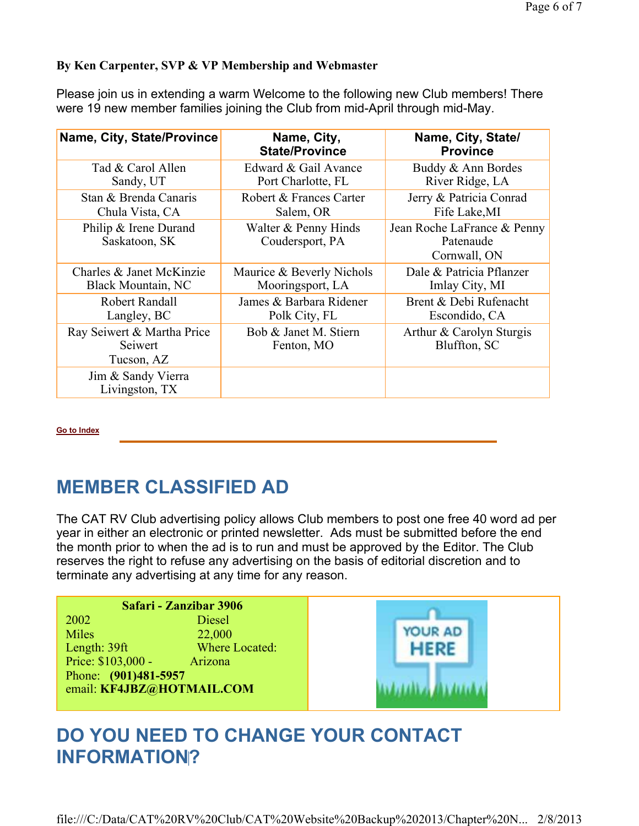#### **By Ken Carpenter, SVP & VP Membership and Webmaster**

Please join us in extending a warm Welcome to the following new Club members! There were 19 new member families joining the Club from mid-April through mid-May.

| Name, City, State/Province                          | Name, City,<br><b>State/Province</b>    | Name, City, State/<br><b>Province</b>                    |
|-----------------------------------------------------|-----------------------------------------|----------------------------------------------------------|
| Tad & Carol Allen                                   | Edward & Gail Avance                    | Buddy & Ann Bordes                                       |
| Sandy, UT                                           | Port Charlotte, FL                      | River Ridge, LA                                          |
| Stan & Brenda Canaris                               | Robert & Frances Carter                 | Jerry & Patricia Conrad                                  |
| Chula Vista, CA                                     | Salem, OR                               | Fife Lake, MI                                            |
| Philip & Irene Durand<br>Saskatoon, SK              | Walter & Penny Hinds<br>Coudersport, PA | Jean Roche LaFrance & Penny<br>Patenaude<br>Cornwall, ON |
| Charles & Janet McKinzie                            | Maurice & Beverly Nichols               | Dale & Patricia Pflanzer                                 |
| <b>Black Mountain, NC</b>                           | Mooringsport, LA                        | Imlay City, MI                                           |
| Robert Randall                                      | James & Barbara Ridener                 | Brent & Debi Rufenacht                                   |
| Langley, BC                                         | Polk City, FL                           | Escondido, CA                                            |
| Ray Seiwert & Martha Price<br>Seiwert<br>Tucson, AZ | Bob & Janet M. Stiern<br>Fenton, MO     | Arthur & Carolyn Sturgis<br>Bluffton, SC                 |
| Jim & Sandy Vierra<br>Livingston, TX                |                                         |                                                          |

**Go to Index**

### **MEMBER CLASSIFIED AD**

The CAT RV Club advertising policy allows Club members to post one free 40 word ad per year in either an electronic or printed newsletter. Ads must be submitted before the end the month prior to when the ad is to run and must be approved by the Editor. The Club reserves the right to refuse any advertising on the basis of editorial discretion and to terminate any advertising at any time for any reason.

| Safari - Zanzibar 3906    |                |         |  |
|---------------------------|----------------|---------|--|
| 2002                      | <b>Diesel</b>  |         |  |
| <b>Miles</b>              | 22,000         | YOUR AD |  |
| Length: $39$ ft           | Where Located: |         |  |
| Price: \$103,000 -        | Arizona        |         |  |
| Phone: (901)481-5957      |                |         |  |
| email: KF4JBZ@HOTMAIL.COM |                |         |  |
|                           |                |         |  |

## **DO YOU NEED TO CHANGE YOUR CONTACT INFORMATION?**

file:///C:/Data/CAT%20RV%20Club/CAT%20Website%20Backup%202013/Chapter%20N... 2/8/2013